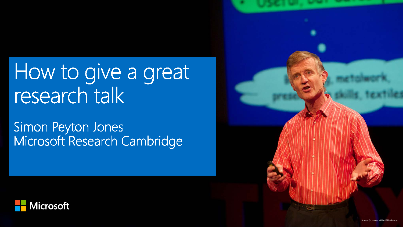## How to give a great research talk

#### Simon Peyton Jones Microsoft Research Cambridge



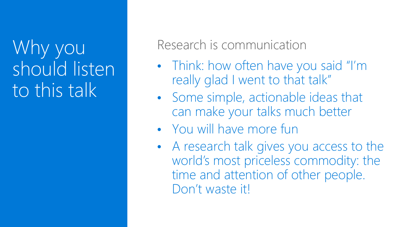#### Why you should listen to this talk

Research is communication

- Think: how often have you said "I'm really glad I went to that talk"
- Some simple, actionable ideas that can make your talks much better
- You will have more fun
- A research talk gives you access to the world's most priceless commodity: the time and attention of other people. Don't waste it!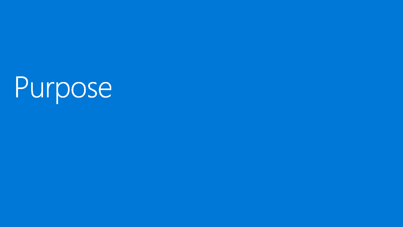# Purpose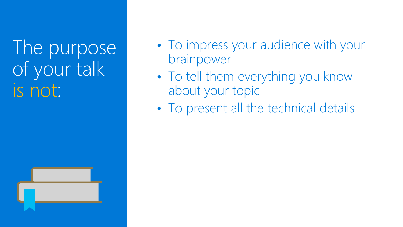#### The purpose of your talk is not:

- To impress your audience with your brainpower
- To tell them everything you know about your topic
- To present all the technical details

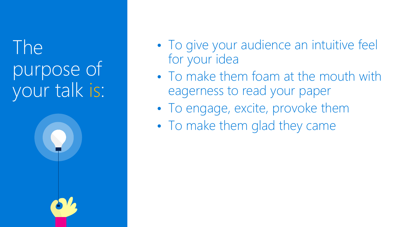### The purpose of your talk is:



- To give your audience an intuitive feel for your idea
- To make them foam at the mouth with eagerness to read your paper
- To engage, excite, provoke them
- To make them glad they came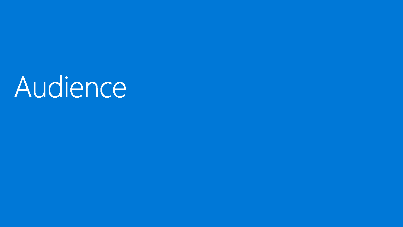# Audience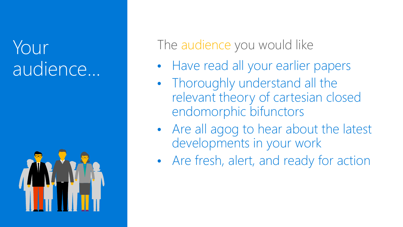#### Your audience…



The audience you would like

- Have read all your earlier papers
- Thoroughly understand all the relevant theory of cartesian closed endomorphic bifunctors
- Are all agog to hear about the latest developments in your work
- Are fresh, alert, and ready for action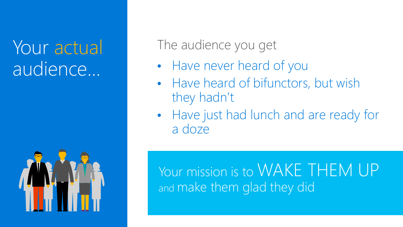#### Your actual audience…



The audience you get

- Have never heard of you
- Have heard of bifunctors, but wish they hadn't
- Have just had lunch and are ready for a doze

Your mission is to WAKE THEM UP and make them glad they did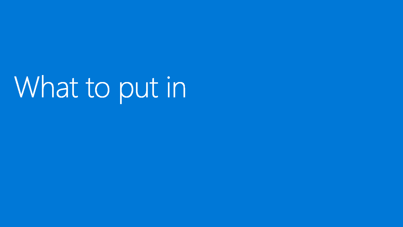# What to put in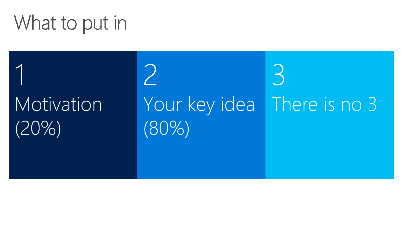## What to put in

**Motivation** (20%)

1

Your key idea (80%)

2

3 There is no 3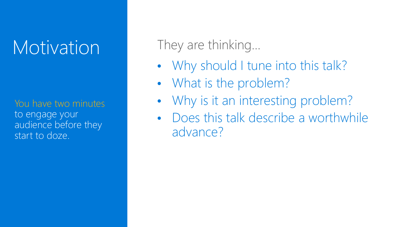You have two minutes to engage your audience before they start to doze.

#### Motivation They are thinking...

- Why should I tune into this talk?
- What is the problem?
- Why is it an interesting problem?
- Does this talk describe a worthwhile advance?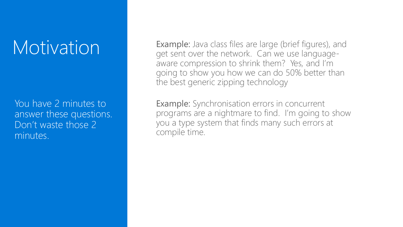#### **Motivation**

You have 2 minutes to answer these questions. Don't waste those 2 minutes.

Example: Java class files are large (brief figures), and get sent over the network. Can we use languageaware compression to shrink them? Yes, and I'm going to show you how we can do 50% better than the best generic zipping technology

Example: Synchronisation errors in concurrent programs are a nightmare to find. I'm going to show you a type system that finds many such errors at compile time.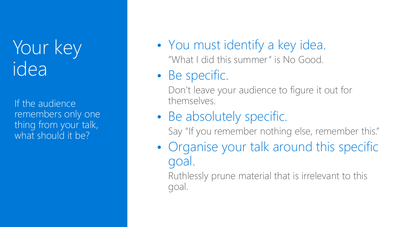#### Your key idea

If the audience remembers only one thing from your talk, what should it be?

- You must identify a key idea. "What I did this summer" is No Good.
- Be specific.

Don't leave your audience to figure it out for themselves.

• Be absolutely specific.

Say "If you remember nothing else, remember this."

• Organise your talk around this specific goal. Ruthlessly prune material that is irrelevant to this goal.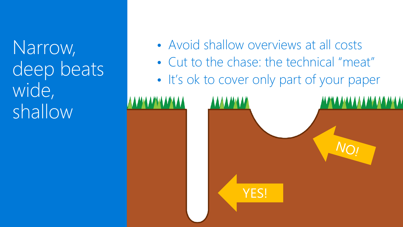Narrow, deep beats wide, shallow

- Avoid shallow overviews at all costs
- Cut to the chase: the technical "meat"
- It's ok to cover only part of your paper

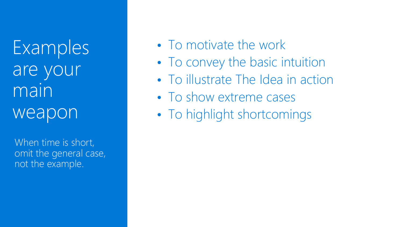Examples are your main weapon

When time is short, omit the general case, not the example.

- To motivate the work
- To convey the basic intuition
- To illustrate The Idea in action
- To show extreme cases
- To highlight shortcomings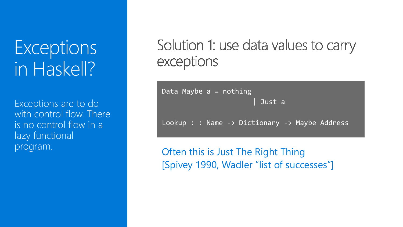#### **Exceptions** in Haskell?

Exceptions are to do with control flow. There is no control flow in a lazy functional

Solution 1: use data values to carry exceptions

Data Maybe  $a = \text{nothing}$ | Just a Lookup : : Name -> Dictionary -> Maybe Address

program. Often this is Just The Right Thing [Spivey 1990, Wadler "list of successes"]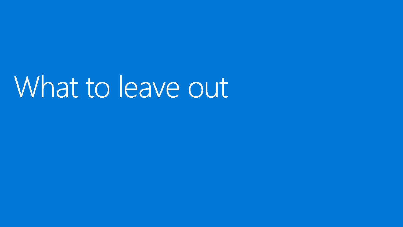## What to leave out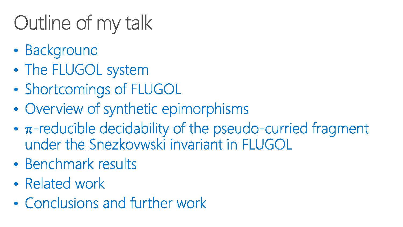## Outline of my talk

- Background
- The FLUGOL system
- Shortcomings of FLUGOL
- Overview of synthetic epimorphisms
- $\cdot$   $\pi$ -reducible decidability of the pseudo-curried fragment under the Snezkovwski invariant in FLUGOL
- Benchmark results
- Related work
- Conclusions and further work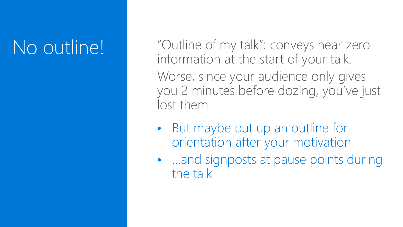No outline! "Outline of my talk": conveys near zero information at the start of your talk. Worse, since your audience only gives you 2 minutes before dozing, you've just lost them

- But maybe put up an outline for orientation after your motivation
- …and signposts at pause points during the talk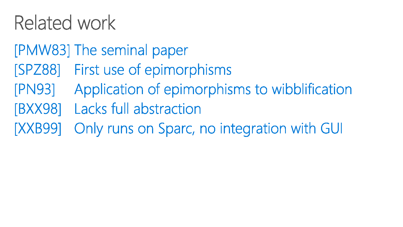#### Related work

#### [PMW83] The seminal paper

- [SPZ88] First use of epimorphisms
- [PN93] Application of epimorphisms to wibblification
- [BXX98] Lacks full abstraction
- [XXB99] Only runs on Sparc, no integration with GUI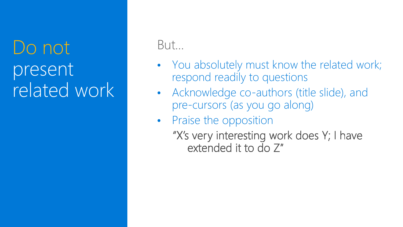### Do not present related work

#### But…

- You absolutely must know the related work; respond readily to questions
- Acknowledge co-authors (title slide), and pre-cursors (as you go along)
- Praise the opposition
	- "X's very interesting work does Y; I have extended it to do Z"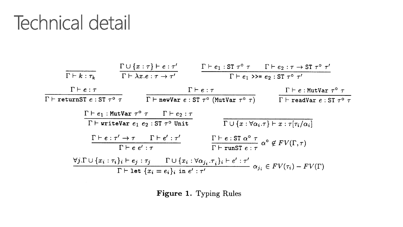#### Technical detail



Figure 1. Typing Rules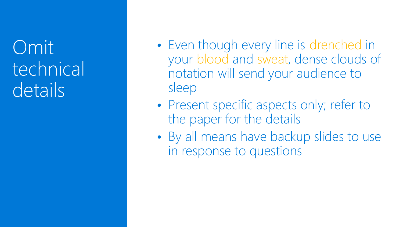#### Omit technical details

- Even though every line is drenched in your blood and sweat, dense clouds of notation will send your audience to sleep
- Present specific aspects only; refer to the paper for the details
- By all means have backup slides to use in response to questions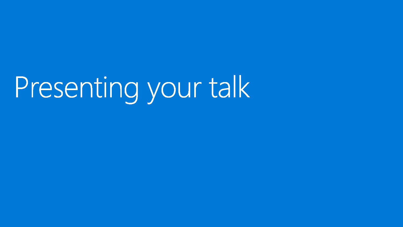# Presenting your talk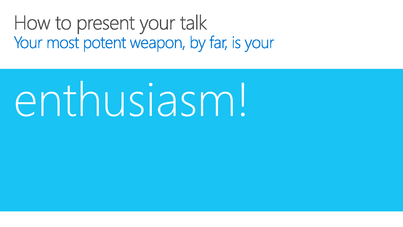How to present your talk Your most potent weapon, by far, is your

# enthusiasm!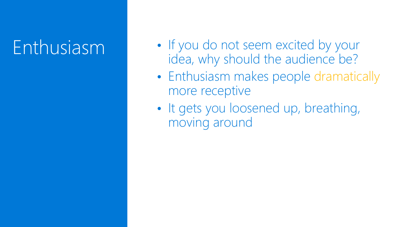- Enthusiasm If you do not seem excited by your idea, why should the audience be?
	- Enthusiasm makes people dramatically more receptive
	- It gets you loosened up, breathing, moving around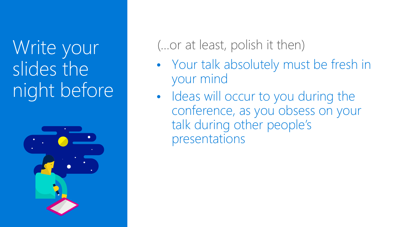## Write your slides the night before



#### (…or at least, polish it then)

- Your talk absolutely must be fresh in your mind
- Ideas will occur to you during the conference, as you obsess on your talk during other people's presentations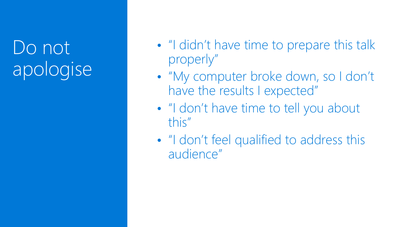### Do not apologise

- "I didn't have time to prepare this talk properly"
- "My computer broke down, so I don't have the results I expected"
- "I don't have time to tell you about this"
- "I don't feel qualified to address this audience"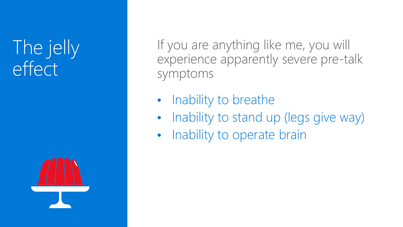#### The jelly effect



If you are anything like me, you will experience apparently severe pre -talk symptoms

- Inability to breathe
- Inability to stand up (legs give way)
- Inability to operate brain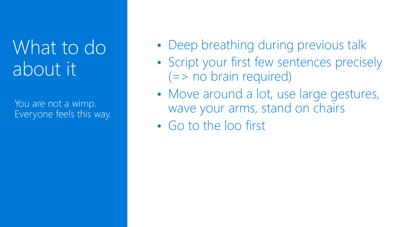### What to do about it

You are not a wimp. Everyone feels this way.

- Deep breathing during previous talk
- Script your first few sentences precisely (=> no brain required)
- Move around a lot, use large gestures, wave your arms, stand on chairs
- Go to the loo first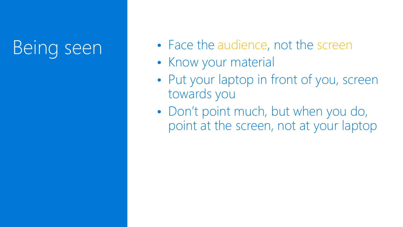- Being seen Face the audience, not the screen
	- Know your material
	- Put your laptop in front of you, screen towards you
	- Don't point much, but when you do, point at the screen, not at your laptop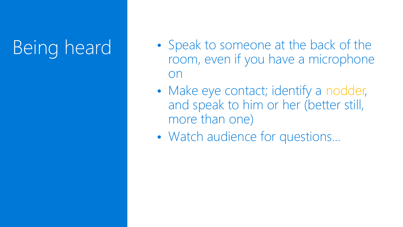- Being heard Speak to someone at the back of the room, even if you have a microphone on
	- Make eye contact; identify a nodder, and speak to him or her (better still, more than one)
	- Watch audience for questions...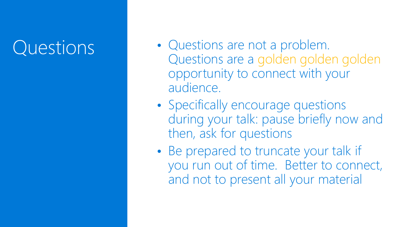#### Questions

- Questions are not a problem. Questions are a golden golden golden opportunity to connect with your audience.
- Specifically encourage questions during your talk: pause briefly now and then, ask for questions
- Be prepared to truncate your talk if you run out of time. Better to connect, and not to present all your material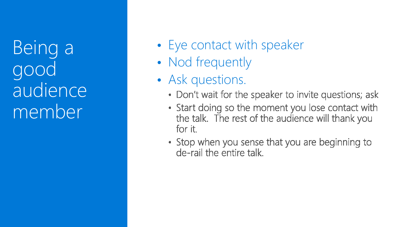Being a good audience member

- Eye contact with speaker
- Nod frequently
- Ask questions.
	- Don't wait for the speaker to invite questions; ask
	- Start doing so the moment you lose contact with the talk. The rest of the audience will thank you for it.
	- Stop when you sense that you are beginning to de-rail the entire talk.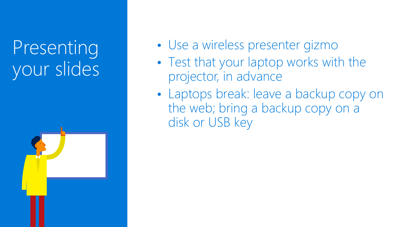#### Presenting your slides



- Use a wireless presenter gizmo
- Test that your laptop works with the projector, in advance
- Laptops break: leave a backup copy on the web; bring a backup copy on a disk or USB key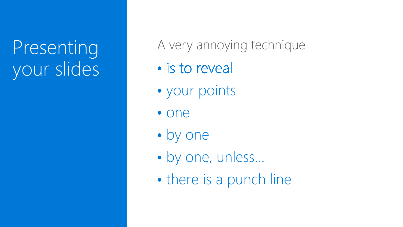#### Presenting your slides

A very annoying technique

- · is to reveal
- your points
- one
- by one
- by one, unless…
- there is a punch line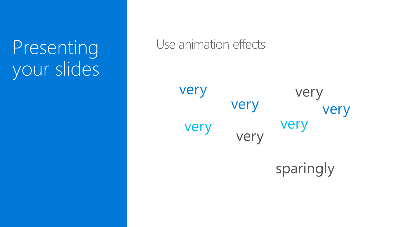#### Presenting Use animation effects your slides

very very very very very very very

sparingly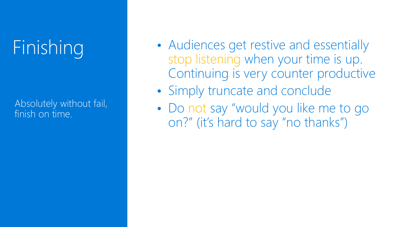## Finishing

Absolutely without fail, finish on time.

- Audiences get restive and essentially stop listening when your time is up. Continuing is very counter productive
- Simply truncate and conclude
- Do not say "would you like me to go on?" (it's hard to say "no thanks")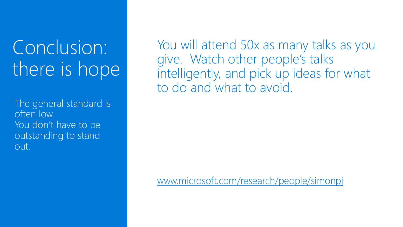### Conclusion: there is hope

The general standard is often low. You don't have to be outstanding to stand out.

You will attend 50x as many talks as you give. Watch other people's talks intelligently, and pick up ideas for what to do and what to avoid.

[www.microsoft.com/research/people/simonpj](http://www.microsoft.com/research/people/simonpj)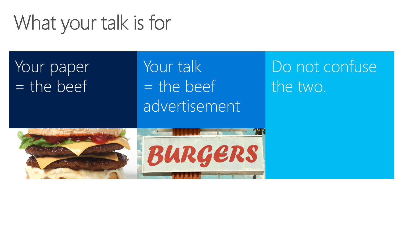## What your talk is for

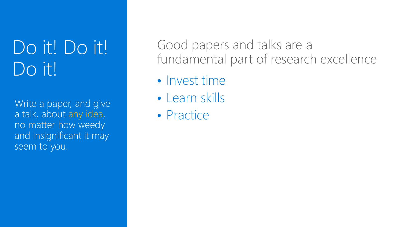## Do it! Do it! Do it!

Write a paper, and give a talk, about any idea, no matter how weedy and insignificant it may seem to you.

Good papers and talks are a fundamental part of research excellence

- Invest time
- Learn skills
- Practice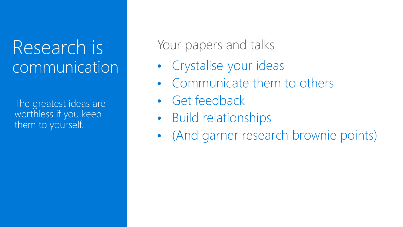#### Research is communication

The greatest ideas are worthless if you keep them to yourself.

Your papers and talks

- Crystalise your ideas
- Communicate them to others
- Get feedback
- Build relationships
- (And garner research brownie points)